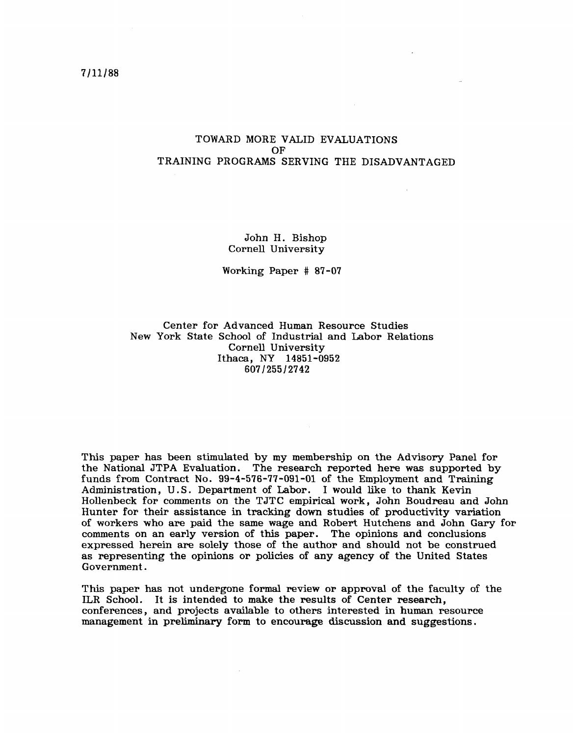# TOWARD MORE VALID EVALUATIONS OF TRAINING PROGRAMS SERVING THE DISADVANTAGED

John H. Bishop Cornell University

Working Paper # 87-07

Center for Advanced Human Resource Studies New York State School of Industrial and Labor Relations Cornell University Ithaca, NY 14851-0952 607/255/2742

This paper has been stimulated by my membership on the Advisory Panel for the National JTPA Evaluation. The research reported here was supported by funds from Contract No. 99-4-576-77-091-01 of the Employment and Training Administration, U.S. Department of Labor. I would like to thank Kevin Hollenbeck for comments on the TJTC empirical work, John Boudreau and John Hunter for their assistance in tracking down studies of productivity variation of workers who are paid the same wage and Robert Hutchens and John Gary for comments on an early version of this paper. The opinions and conclusions expressed herein are solely those of the author and should not be construed as representing the opinions or policies of any agency of the United States Government.

This paper has not undergone formal review or approval of the faculty of the ILR School. It is intended to make the results of Center research, conferences, and projects available to others interested inhuman resource management in preliminary form to encourage discussion and suggestions.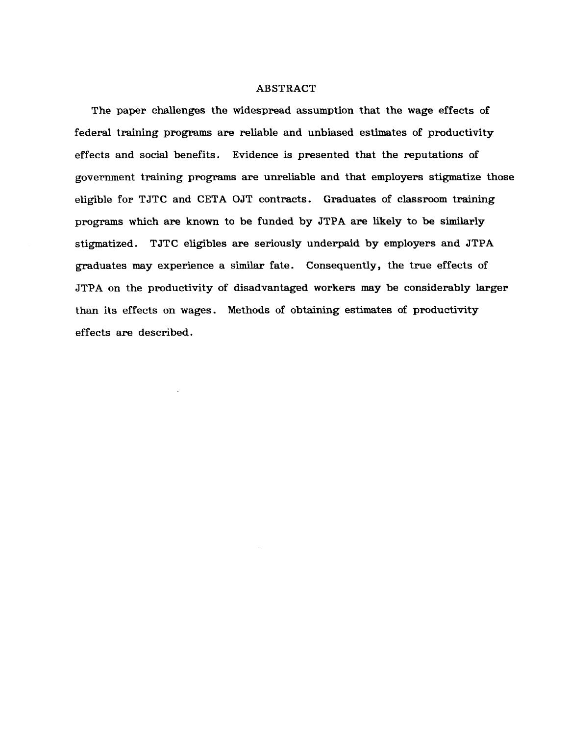# ABSTRACT

The paper challenges the widespread assumption that the wage effects of federal training programs are reliable and unbiased estimates of productivity effects and social benefits. Evidence is presented that the reputations of government training programs are unreliable and that employers stigmatize those eligible for TJTC and CETA OJT contracts. Graduates of classroom training programs which are known to be funded by JTPA are likely to be similarly stigmatized. TJTC eligibles are seriously underpaid by employers and JTPA graduates may experience a similar fate. Consequently, the true effects of JTPA on the productivity of disadvantaged workers may be considerably larger than its effects on wages. Methods of obtaining estimates of productivity effects are described.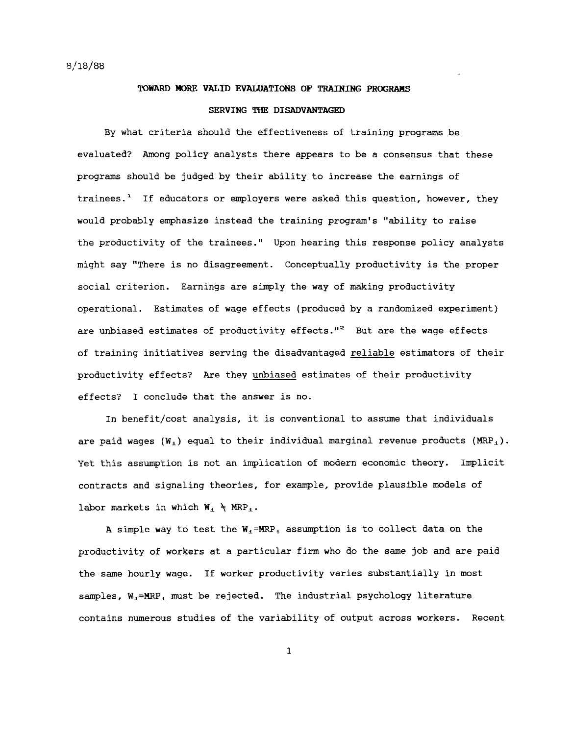# **TOWARD MORE VALID EVALUATIONS OF TRAINING PROGRAMS**

### **SERVING THE DISADVANTAGED**

By what criteria should the effectiveness of training programs be evaluated? Among policy analysts there appears to be a consensus that these programs should be judged by their ability to increase the earnings of trainees. I If educators or employers were asked this question, however, they would probably emphasize instead the training program's "ability to raise the productivity of the trainees." Upon hearing this response policy analysts might say "There is no disagreement. Conceptually productivity is the proper social criterion. Earnings are simply the way of making productivity operational. Estimates of wage effects (produced by a randomized experiment) are unbiased estimates of productivity effects."<sup>2</sup> But are the wage effects of training initiatives serving the disadvantaged reliable estimators of their productivity effects? Are they unbiased estimates of their productivity effects? I conclude that the answer is no.

In benefit/cost analysis, it is conventional to assume that individuals are paid wages  $(W_1)$  equal to their individual marginal revenue products  $(MRP_1)$ . Yet this assumption is not an implication of modern economic theory. Implicit contracts and signaling theories, for example, provide plausible models of labor markets in which  $W_1 \div MRP_1$ .

A simple way to test the  $W_i=MRP_i$  assumption is to collect data on the productivity of workers at a particular firm who do the same job and are paid the same hourly wage. If worker productivity varies substantially in most samples,  $W_i = MRP_i$  must be rejected. The industrial psychology literature contains numerous studies of the variability of output across workers. Recent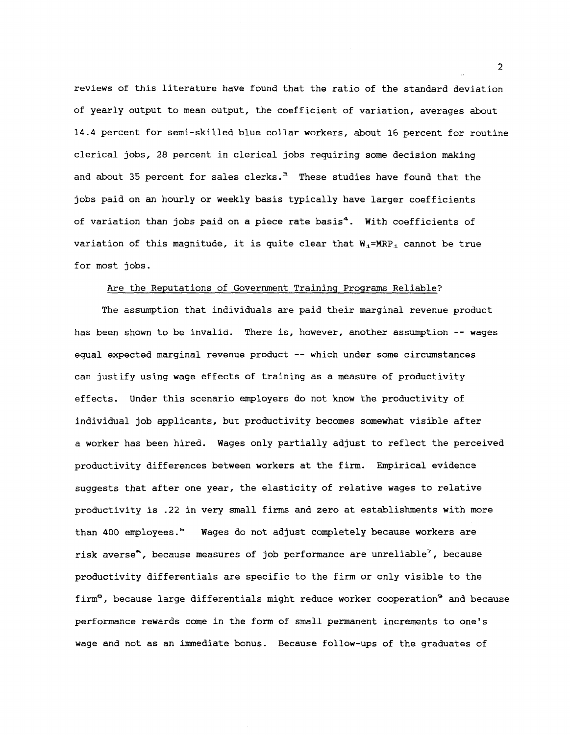reviews of this literature have found that the ratio of the standard deviation of yearly output to mean output, the coefficient of variation, averages about 14.4 percent for semi-skilled blue collar workers, about 16 percent for routine clerical jobs, 28 percent in clerical jobs requiring some decision making and about 35 percent for sales clerks.<sup>3</sup> These studies have found that the jobs paid on an hourly or weekly basis typically have larger coefficients of variation than jobs paid on a piece rate basis<sup>4</sup>. With coefficients of variation of this magnitude, it is quite clear that  $W_i = MRP_i$  cannot be true for most jobs.

# Are the Reputations of Government Training Programs Reliable?

The assumption that individuals are paid their marginal revenue product has been shown to be invalid. There is, however, another assumption -- wages equal expected marginal revenue product -- which under some circumstances can justify using wage effects of training as a measure of productivity effects. Under this scenario employers do not know the productivity of individual job applicants, but productivity becomes somewhat visible after a worker has been hired. Wages only partially adjust to reflect the perceived productivity differences between workers at the firm. Empirical evidence suggests that after one year, the elasticity of relative wages to relative productivity is .22 in very small firms and zero at establishments with more than 400 employees.5 Wages do not adjust completely because workers are risk averse<sup>6</sup>, because measures of job performance are unreliable<sup>7</sup>, because productivity differentials are specific to the firm or only visible to the firm<sup>8</sup>, because large differentials might reduce worker cooperation<sup>9</sup> and because performance rewards come in the form of small permanent increments to one's wage and not as an immediate bonus. Because follow-ups of the graduates of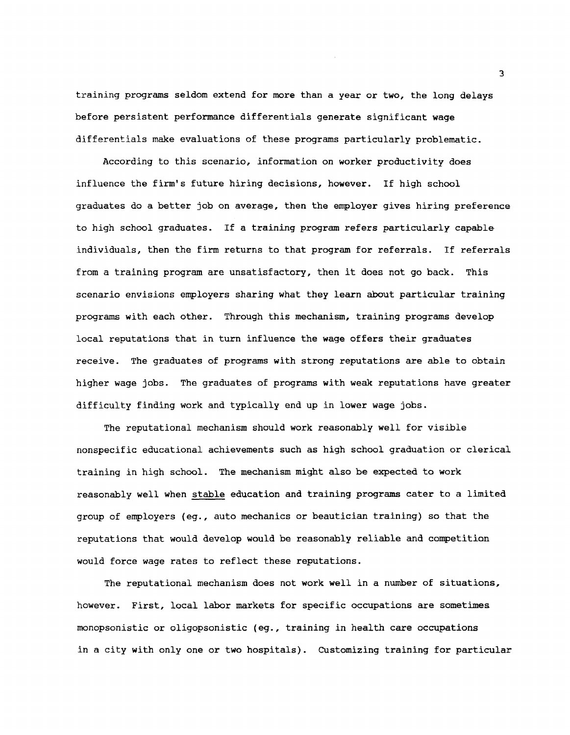training programs seldom extend for more than a year or two, the long delays before persistent performance differentials generate significant wage differentials make evaluations of these programs particularly problematic.

According to this scenario, information on worker productivity does influence the firm's future hiring decisions, however. If high school graduates do a better job on average, then the employer gives hiring preference to high school graduates. If a training program refers particularly capable individuals, then the firm returns to that program for referrals. If referrals from a training program are unsatisfactory, then it does not go back. This scenario envisions employers sharing what they learn about particular training programs with each other. Through this mechanism, training programs develop local reputations that in turn influence the wage offers their graduates receive. The graduates of programs with strong reputations are able to obtain higher wage jobs. The graduates of programs with weak reputations have greater difficulty finding work and typically end up in lower wage jobs.

The reputational mechanism should work reasonably well for visible nonspecific educational achievements such as high school graduation or clerical training in high school. The mechanism might also be expected to work reasonably well when stable education and training programs cater to a limited group of employers (eg., auto mechanics or beautician training) so that the reputations that would develop would be reasonably reliable and competition would force wage rates to reflect these reputations.

The reputational mechanism does not work well in a number of situations, however. First, local labor markets for specific occupations are sometimes monopsonistic or oligopsonistic (eg., training in health care occupations in a city with only one or two hospitals). Customizing training for particular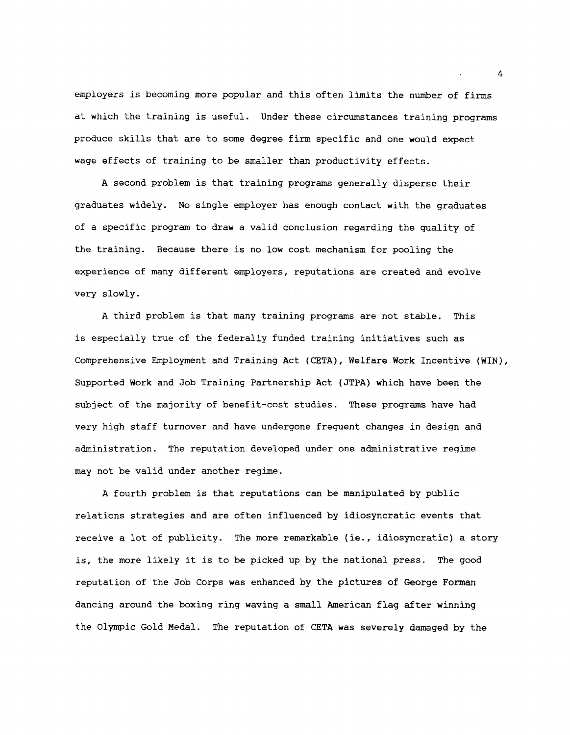employers is becoming more popular and this often limits the number of firms at which the training is useful. Under these circumstances training programs produce skills that are to some degree firm specific and one would expect wage effects of training to be smaller than productivity effects.

A second problem is that training programs generally disperse their graduates widely. No single employer has enough contact with the graduates of a specific program to draw a valid conclusion regarding the quality of the training. Because there is no low cost mechanism for pooling the experience of many different employers, reputations are created and evolve very slowly.

A third problem is that many training programs are not stable. This is especially true of the federally funded training initiatives such as Comprehensive Employment and Training Act (CETA), Welfare Work Incentive (WIN), Supported Work and Job Training Partnership Act (JTPA) which have been the subject of the majority of benefit-cost studies. These programs have had very high staff turnover and have undergone frequent changes in design and administration. The reputation developed under one administrative regime may not be valid under another regime.

A fourth problem is that reputations can be manipulated by public relations strategies and are often influenced by idiosyncratic events that receive a lot of publicity. The more remarkable (ie., idiosyncratic) a story is, the more likely it is to be picked up by the national press. The good reputation of the Job Corps was enhanced by the pictures of George Forman dancing around the boxing ring waving a small American flag after winning the Olympic Gold Medal. The reputation of CETA was severely damaged by the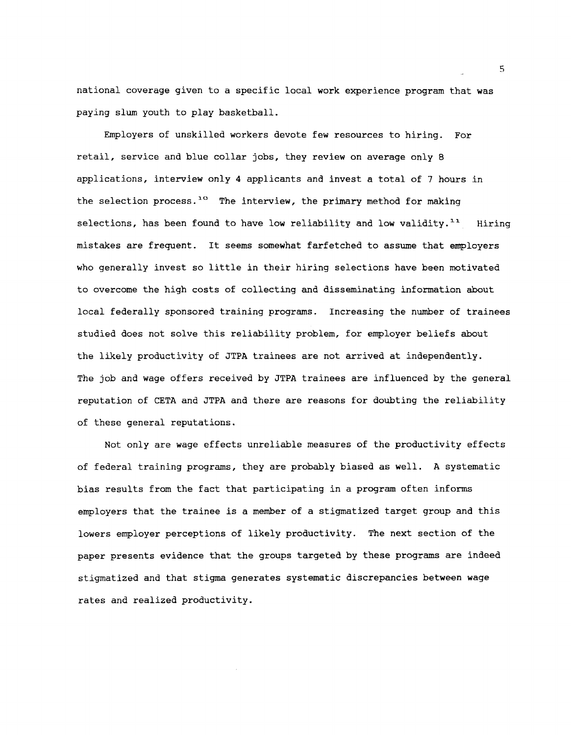national coverage given to a specific local work experience program that was paying slum youth to play basketball.

Employers of unskilled workers devote few resources to hiring. For retail, service and blue collar jobs, they review on average only 8 applications, interview only 4 applicants and invest a total of 7 hours in the selection process.<sup>10</sup> The interview, the primary method for makin selections, has been found to have low reliability and low validity.<sup>11</sup> Hiring mistakes are frequent. It seems somewhat farfetched to assume that employers who generally invest so little in their hiring selections have been motivated to overcome the high costs of collecting and disseminating information about local federally sponsored training programs. Increasing the number of trainees studied does not solve this reliability problem, for employer beliefs about the likely productivity of JTPA trainees are not arrived at independently. The job and wage offers received by JTPA trainees are influenced by the general reputation of CETA and JTPA and there are reasons for doubting the reliability of these general reputations.

Not only are wage effects unreliable measures of the productivity effects of federal training programs, they are probably biased as well. A systematic bias results from the fact that participating in a program often informs employers that the trainee is a member of a stigmatized target group and this lowers employer perceptions of likely productivity. The next section of the paper presents evidence that the groups targeted by these programs are indeed stigmatized and that stigma generates systematic discrepancies between wage rates and realized productivity.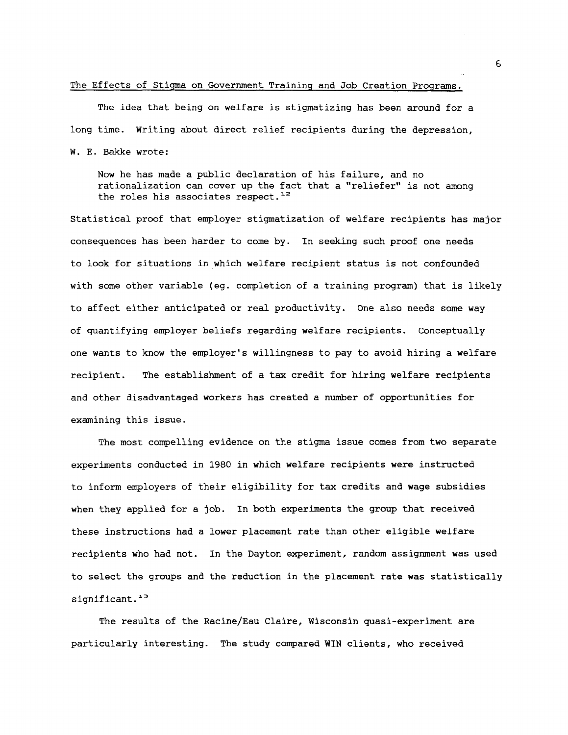#### The Effects of Stigma on Government Training and Job Creation Programs.

The idea that being on welfare is stigmatizing has been around for a long time. Writing about direct relief recipients during the depression, W. E. Bakke wrote:

Now he has made a public declaration of his failure, and no rationalization can cover up the fact that a "reliefer" is not among the roles his associates respect.<sup>12</sup>

Statistical proof that employer stigmatization of welfare recipients has major consequences has been harder to come by. In seeking such proof one needs to look for situations in which welfare recipient status is not confounded with some other variable (eg. completion of a training program) that is likely to affect either anticipated or real productivity. One also needs some way of quantifying employer beliefs regarding welfare recipients. Conceptually one wants to know the employer's willingness to pay to avoid hiring a welfare recipient. The establishment of a tax credit for hiring welfare recipients and other disadvantaged workers has created a number of opportunities for examining this issue.

The most compelling evidence on the stigma issue comes from two separate experiments conducted in 1980 in which welfare recipients were instructed to inform employers of their eligibility for tax credits and wage subsidies when they applied for a job. In both experiments the group that received these instructions had a lower placement rate than other eligible welfare recipients who had not. In the Dayton experiment, random assignment was used to select the groups and the reduction in the placement rate was statistically significant.<sup>13</sup>

The results of the Racine/Eau Claire, Wisconsin quasi-experiment are particularly interesting. The study compared WIN clients, who received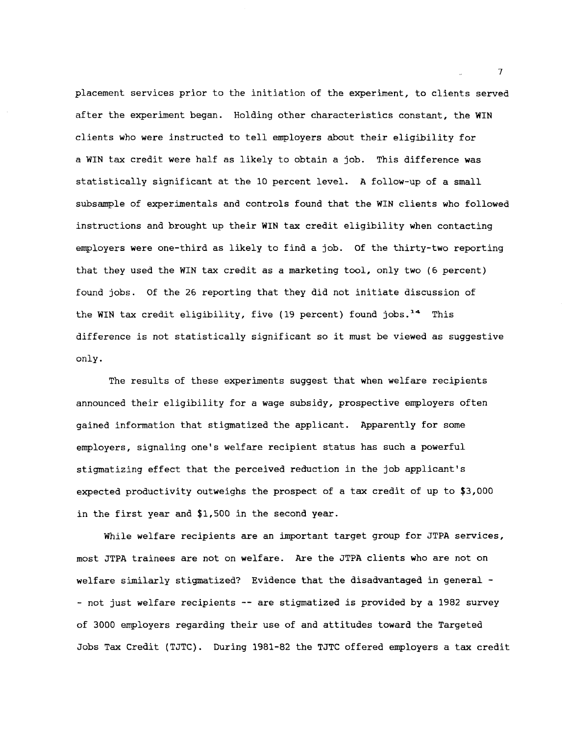placement services prior to the initiation of the experiment, to clients served after the experiment began. Holding other characteristics constant, the WIN clients who were instructed to tell employers about their eligibility for a WIN tax credit were half as likely to obtain a job. This difference was statistically significant at the 10 percent level. A follow-up of a small subsample of experimentals and controls found that the WIN clients who followed instructions and brought up their WIN tax credit eligibility when contacting employers were one-third as likely to find a job. Of the thirty-two reporting that they used the WIN tax credit as a marketing tool, only two (6 percent) found jobs. Of the 26 reporting that they did not initiate discussion of the WIN tax credit eligibility, five (19 percent) found jobs.14 This difference is not statistically significant so it must be viewed as suggestive only.

The results of these experiments suggest that when welfare recipients announced their eligibility for a wage subsidy, prospective employers often gained information that stigmatized the applicant. Apparently for some employers, signaling one's welfare recipient status has such a powerful stigmatizing effect that the perceived reduction in the job applicant's expected productivity outweighs the prospect of a tax credit of up to \$3,000 in the first year and \$1,500 in the second year.

While welfare recipients are an important target group for JTPA services, most JTPA trainees are not on welfare. Are the JTPA clients who are not on welfare similarly stigmatized? Evidence that the disadvantaged in general - - not just welfare recipients -- are stigmatized is provided by a 1982 survey of 3000 employers regarding their use of and attitudes toward the Targeted Jobs Tax Credit (TJTC). During 1981-82 the TJTC offered employers a tax credit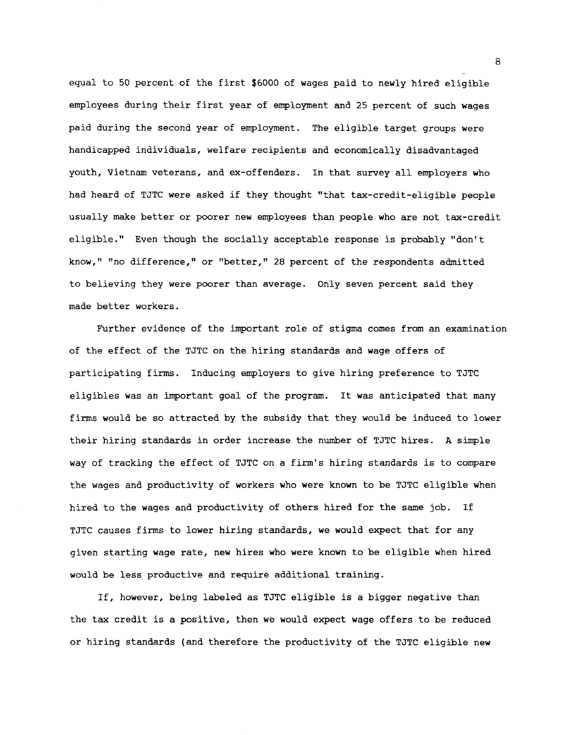equal to 50 percent of the first \$6000 of wages paid to newly hired eligible employees during their first year of employment and 25 percent of such wages paid during the second year of employment. The eligible target groups were handicapped individuals, welfare recipients and economically disadvantaged youth, Vietnam veterans, and ex-offenders. In that survey all employers who had heard of TJTC were asked if they thought "that tax-credit-eligible people usually make better or poorer new employees than people who are not tax-credit eligible." Even though the socially acceptable response is probably "don'<sup>.</sup> know," "no difference," or "better," 28 percent of the respondents admitted to believing they were poorer than average. Only seven percent said they made better workers.

Further evidence of the important role of stigma comes from an examination of the effect of the TJTC on the hiring standards and wage offers of participating firms. Inducing employers to give hiring preference to TJTC eligibles was an important goal of the program. It was anticipated that many firms would be so attracted by the subsidy that they would be induced to lower their hiring standards in order increase the number of TJTC hires. A simple way of tracking the effect of TJTC on a firm's hiring standards is to compare the wages and productivity of workers who were known to be TJTC eligible when hired to the wages and productivity of others hired for the same job. If TJTC causes firms to lower hiring standards, we would expect that for any given starting wage rate, new hires who were known to be eligible when hired would be less productive and require additional training.

If, however, being labeled as TJTC eligible is a bigger negative than the tax credit is a positive, then we would expect wage offers to be reduced or hiring standards (and therefore the productivity of the TJTC eligible new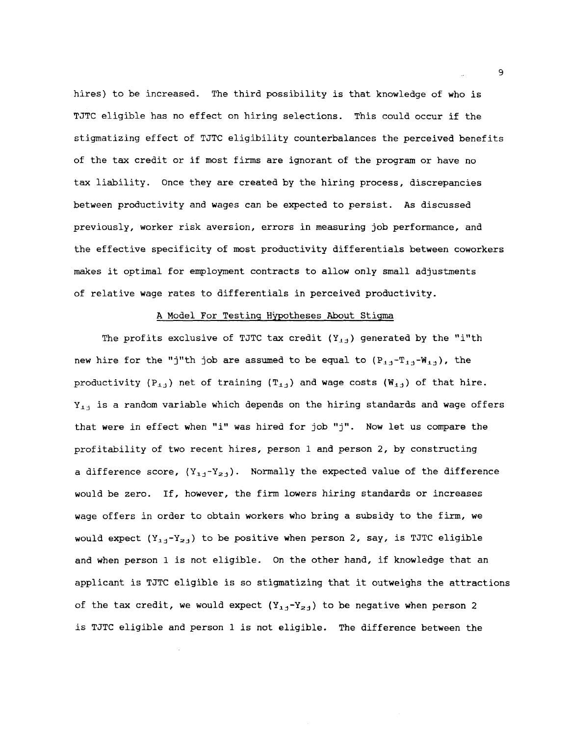hires) to be increased. The third possibility is that knowledge of who is TJTC eligible has no effect on hiring selections. This could occur if the stigmatizing effect of TJTC eligibility counterbalances the perceived benefits of the tax credit or if most firms are ignorant of the program or have no tax liability. Once they are created by the hiring process, discrepancies between productivity and wages can be expected to persist. As discussed previously, worker risk aversion, errors in measuring job performance, and the effective specificity of most productivity differentials between coworkers makes it optimal for employment contracts to allow only small adjustments of relative wage rates to differentials in perceived productivity.

#### A Model For Testing HyPotheses About Stigma

The profits exclusive of TJTC tax credit  $(Y_{i,j})$  generated by the "i"th new hire for the "j"th job are assumed to be equal to  $(P_{i,j}-T_{i,j}-W_{i,j})$ , the productivity (P<sub>ij</sub>) net of training (T<sub>ij</sub>) and wage costs (W<sub>ij</sub>) of that hire.  $Y_{4,j}$  is a random variable which depends on the hiring standards and wage offers that were in effect when "i" was hired for job "j". Now let us compare the profitability of two recent hires, person 1 and person 2, by constructing a difference score,  $(Y_{1,j}-Y_{2,j})$ . Normally the expected value of the difference would be zero. If, however, the firm lowers hiring standards or increases wage offers in order to obtain workers who bring a subsidy to the firm, we would expect  $(Y_{1,j}-Y_{2,j})$  to be positive when person 2, say, is TJTC eligible and when person 1 is not eligible. On the other hand, if knowledge that an applicant is TJTC eligible is so stigmatizing that it outweighs the attractions of the tax credit, we would expect  $(Y_{1,j}-Y_{2,j})$  to be negative when person 2 is TJTC eligible and person 1 is not eligible. The difference between the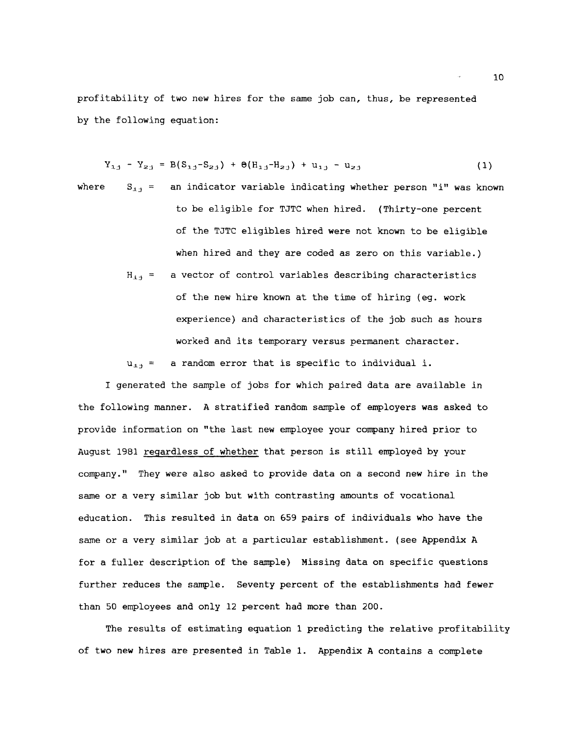profitability of two new hires for the same job can, thus, be represented by the following equation:

$$
Y_{1,j} - Y_{2,j} = B(S_{1,j} - S_{2,j}) + \Theta(H_{1,j} - H_{2,j}) + u_{1,j} - u_{2,j}
$$
 (1)

where 
$$
S_{1,j}
$$
 = an indicator variable indicating whether person "i" was known  
to be eligible for TJTC when hired. (Thirty-one percent  
of the TJTC eligibles hired were not known to be eligible  
when hired and they are coded as zero on this variable.)  
 $H_{1,j}$  = a vector of control variables describing characteristics  
of the new hire known at the time of hiring (eg. work  
experience) and characteristics of the job such as hours  
worked and its temporary versus permanent character.

$$
u_{ij} =
$$
 a random error that is specific to individual i.

I generated the sample of jobs for which paired data are available in the following manner. A stratified random sample of employers was asked to provide information on "the last new employee your company hired prior to August 1981 regardless of whether that person is still employed by your company." They were also asked to provide data on a second new hire in the same or a very similar job but with contrasting amounts of vocational education. This resulted in data on 659 pairs of individuals who have the same or a very similar job at a particular establishment. (see Appendix A for a fuller description of the sample) Missing data on specific questions further reduces the sample. Seventy percent of the establishments had fewer than 50 employees and only 12 percent had more than 200.

The results of estimating equation 1 predicting the relative profitability of two new hires are presented in Table 1. Appendix A contains a complete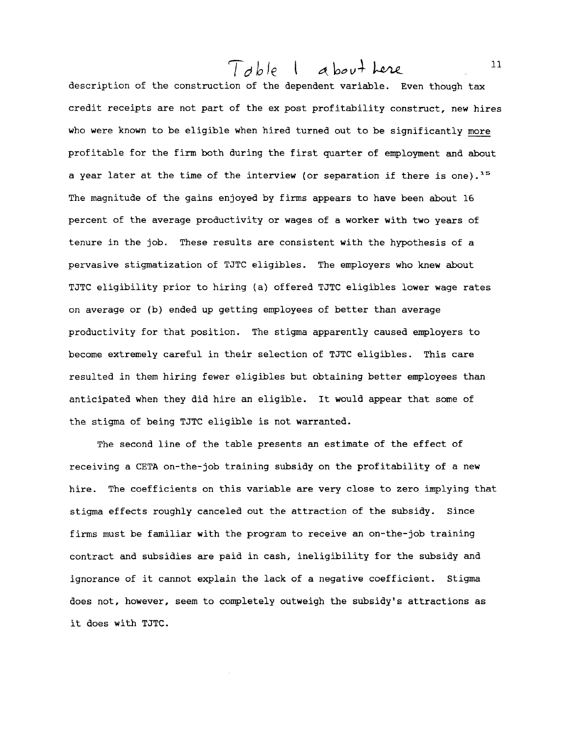$Table$  *dbout here* description of the construction of the dependent variable. Even though tax credit receipts are not part of the ex post profitability construct, new hires who were known to be eligible when hired turned out to be significantly more profitable for the firm both during the first quarter of employment and about a year later at the time of the interview (or separation if there is one).<sup>15</sup> The magnitude of the gains enjoyed by firms appears to have been about 16 percent of the average productivity or wages of a worker with two years of tenure in the job. These results are consistent with the hypothesis of a pervasive stigmatization of TJTC eligibles. The employers who knew about TJTC eligibility prior to hiring (a) offered TJTC eligibles lower wage rates on average or (b) ended up getting employees of better than average productivity for that position. The stigma apparently caused employers to become extremely careful in their selection of TJTC eligibles. This care resulted in them hiring fewer eligibles but obtaining better employees than anticipated when they did hire an eligible. It would appear that some of the stigma of being TJTC eligible is not warranted.

The second line of the table presents an estimate of the effect of receiving a CETA on-the-job training subsidy on the profitability of a new hire. The coefficients on this variable are very close to zero implying that stigma effects roughly canceled out the attraction of the subsidy. Since firms must be familiar with the program to receive an on-the-job training contract and subsidies are paid in cash, ineligibility for the subsidy and ignorance of it cannot explain the lack of a negative coefficient. Stigma does not, however, seem to completely outweigh the subsidy's attractions as it does with TJTC.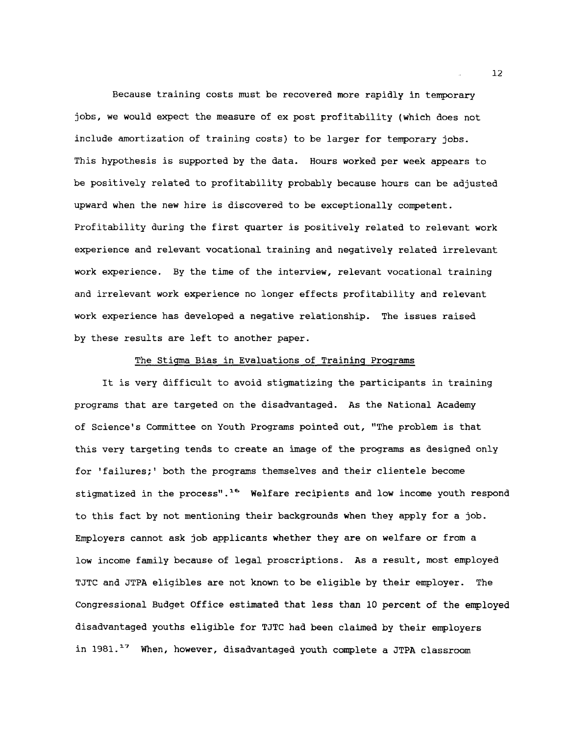Because training costs must be recovered more rapidly in temporary jobs, we would expect the measure of ex post profitability (which does not include amortization of training costs) to be larger for temporary jobs. This hypothesis is supported by the data. Hours worked per week appears to be positively related to profitability probably because hours can be adjusted upward when the new hire is discovered to be exceptionally competent. Profitability during the first quarter is positively related to relevant work experience and relevant vocational training and negatively related irrelevant work experience. By the time of the interview, relevant vocational training and irrelevant work experience no longer effects profitability and relevant work experience has developed a negative relationship. The issues raised by these results are left to another paper.

### The Stigma Bias in Evaluations of Training Programs

It is very difficult to avoid stigmatizing the participants in training programs that are targeted on the disadvantaged. As the National Academy of Science's Committee on Youth Programs pointed out, "The problem is that this very targeting tends to create an image of the programs as designed only for 'failures;' both the programs themselves and their clientele become stigmatized in the process".<sup>16</sup> Welfare recipients and low income youth respond to this fact by not mentioning their backgrounds when they apply for a job. Employers cannot ask job applicants whether they are on welfare or from a low income family because of legal proscriptions. As a result, most employed TJTC and JTPA eligibles are not known to be eligible by their employer. The Congressional Budget Office estimated that less than 10 percent of the employed disadvantaged youths eligible for TJTC had been claimed by their employers in 1981.<sup>17</sup> When, however, disadvantaged youth complete a JTPA classroom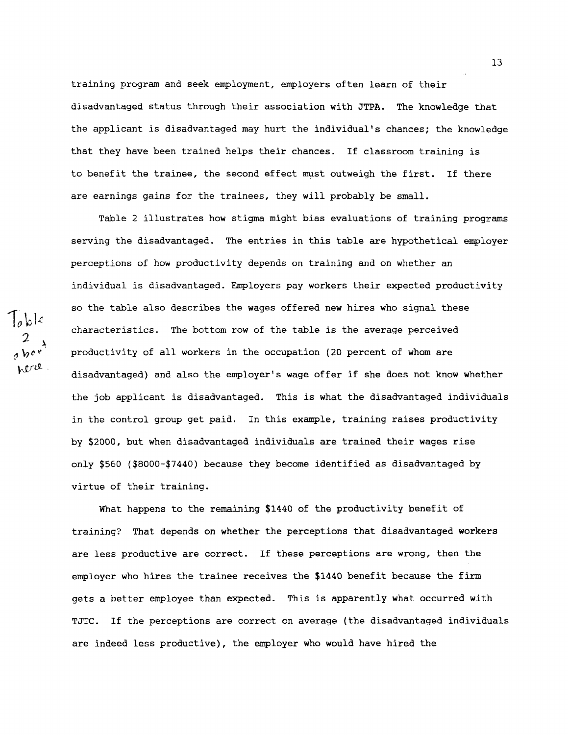training program and seek employment, employers often learn of their disadvantaged status through their association with JTPA. The knowledge that the applicant is disadvantaged may hurt the individual's chances; the knowledge that they have been trained helps their chances. If classroom training is to benefit the trainee, the second effect must outweigh the first. If there are earnings gains for the trainees, they will probably be small.

Table 2 illustrates how stigma might bias evaluations of training programs serving the disadvantaged. The entries in this table are hypothetical employer perceptions of how productivity depends on training and on whether an individual is disadvantaged. Employers pay workers their expected productivity so the table also describes the wages offered new hires who signal these characteristics. The bottom row of the table is the average perceived productivity of all workers in the occupation (20 percent of whom are disadvantaged) and also the employer's wage offer if she does not know whether the job applicant is disadvantaged. This is what the disadvantaged individuals in the control group get paid. In this example, training raises productivity by \$2000, but when disadvantaged individuals are trained their wages rise only \$560 (\$8000-\$7440) because they become identified as disadvantaged by virtue of their training.

What happens to the remaining \$1440 of the productivity benefit of training? That depends on whether the perceptions that disadvantaged workers are less productive are correct. If these perceptions are wrong, then the employer who hires the trainee receives the \$1440 benefit because the firm gets a better employee than expected. This is apparently what occurred with TJTC. If the perceptions are correct on average (the disadvantaged individuals are indeed less productive), the employer who would have hired the

 $7$ oble 2  $\,$  $\partial\,D^{\,c}$ *l,JrlJ.* .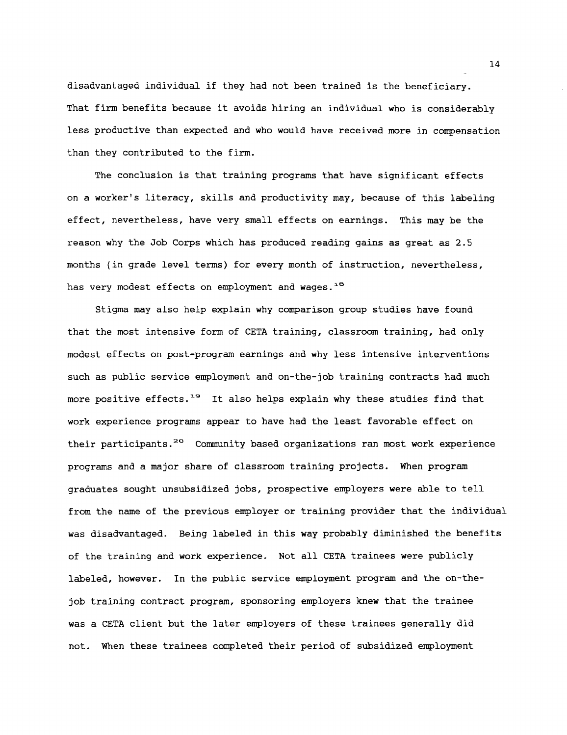disadvantaged individual if they had not been trained is the beneficiary. That firm benefits because it avoids hiring an individual who is considerably less productive than expected and who would have received more in compensation than they contributed to the firm.

The conclusion is that training programs that have significant effects on a worker's literacy, skills and productivity may, because of this labeling effect, nevertheless, have very small effects on earnings. This may be the reason why the Job Corps which has produced reading gains as great as 2.5 months (in grade level terms) for every month of instruction, nevertheless, has very modest effects on employment and wages.<sup>18</sup>

stigma may also help explain why comparison group studies have found that the most intensive form of CETA training, classroom training, had only modest effects on post-program earnings and why less intensive interventions such as public service employment and on-the-job training contracts had much more positive effects.<sup>19</sup> It also helps explain why these studies find that work experience programs appear to have had the least favorable effect on their participants.<sup>20</sup> Community based organizations ran most work experience programs and a major share of classroom training projects. When program graduates sought unsubsidized jobs, prospective employers were able to tell from the name of the previous employer or training provider that the individual was disadvantaged. Being labeled in this way probably diminished the benefits of the training and work experience. Not all CETA trainees were publicly labeled, however. In the public service employment program and the on-thejob training contract program, sponsoring employers knew that the trainee was a CETA client but the later employers of these trainees generally did not. When these trainees completed their period of subsidized employment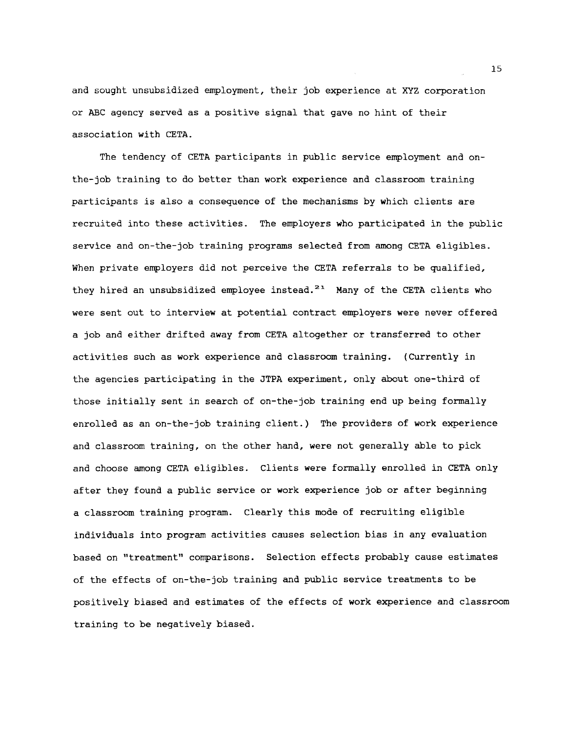and sought unsubsidized employment, their job experience at XYZ corporation or ABC agency served as a positive signal that gave no hint of their association with CETA.

The tendency of CETA participants in public service employment and onthe-job training to do better than work experience and classroom training participants is also a consequence of the mechanisms by which clients are recruited into these activities. The employers who participated in the public service and on-the-job training programs selected from among CETA eligibles. When private employers did not perceive the CETA referrals to be qualified, they hired an unsubsidized employee instead. $21$  Many of the CETA clients who were sent out to interview at potential contract employers were never offered a job and either drifted away from CETA altogether or transferred to other activities such as work experience and classroom training. (CUrrently in the agencies participating in the JTPA experiment, only about one-third of those initially sent in search of on-the-job training end up being formally enrolled as an on-the-job training client.) The providers of work experience and classroom training, on the other hand, were not generally able to pick and choose among CETA eligibles. Clients were formally enrolled in CETA only after they found a public service or work experience job or after beginning a classroom training program. Clearly this mode of recruiting eligible individuals into program activities causes selection bias in any evaluation based on "treatment" comparisons. Selection effects probably cause estimates of the effects of on-the-job training and public service treatments to be positively biased and estimates of the effects of work experience and classroom training to be negatively biased.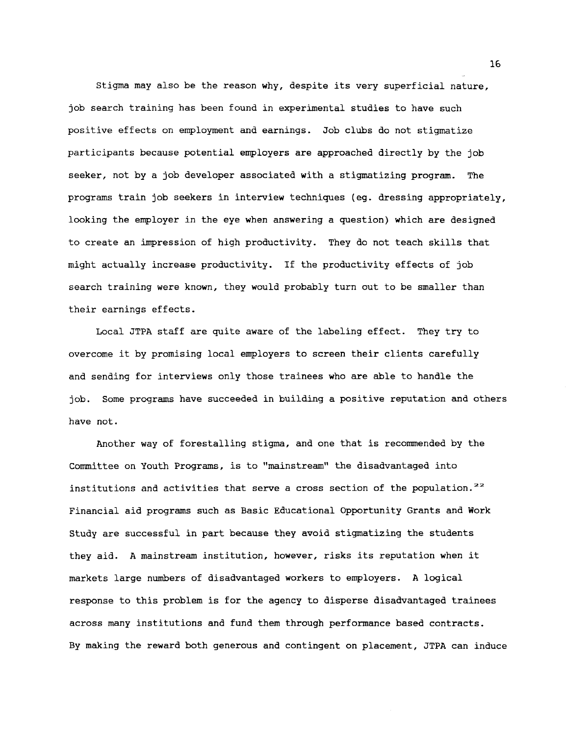stigma may also be the reason why, despite its very superficial nature, job search training has been found in experimental studies to have such positive effects on employment and earnings. Job clubs do not stigmatize participants because potential employers are approached directly by the job seeker, not by a job developer associated with a stigmatizing program. The programs train job seekers in interview techniques (eg. dressing appropriately, looking the employer in the eye when answering a question) which are designed to create an impression of high productivity. They do not teach skills that might actually increase productivity. If the productivity effects of job search training were known, they would probably turn out to be smaller than their earnings effects.

Local JTPA staff are quite aware of the labeling effect. They try to overcome it by promising local employers to screen their clients carefully and sending for interviews only those trainees who are able to handle the job. Some programs have succeeded in building a positive reputation and others have not.

Another way of forestalling stigma, and one that is recommended by the Committee on Youth Programs, is to "mainstream" the disadvantaged into institutions and activities that serve a cross section of the population.<sup>22</sup> Financial aid programs such as Basic Educational Opportunity Grants and Work study are successful in part because they avoid stigmatizing the students they aid. A mainstream institution, however, risks its reputation when it markets large numbers of disadvantaged workers to employers. A logical response to this problem is for the agency to disperse disadvantaged trainees across many institutions and fund them through performance based contracts. By making the reward both generous and contingent on placement, JTPA can induce

lG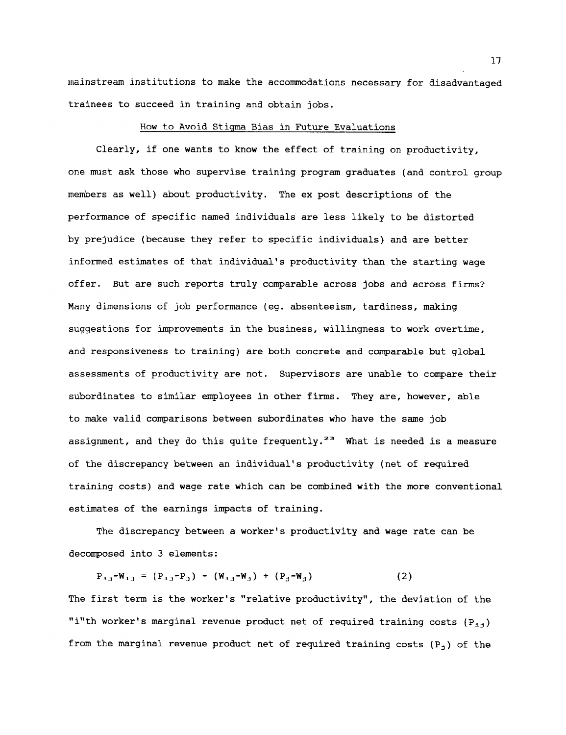mainstream institutions to make the accormnodations necessary for disadvantaged trainees to succeed in training and obtain jobs.

# How to Avoid Stigma Bias in Future Evaluations

Clearly, if one wants to know the effect of training on productivity, one must ask those who supervise training program graduates (and control group members as well) about productivity. The ex post descriptions of the performance of specific named individuals are less likely to be distorted by prejudice (because they refer to specific individuals) and are better informed estimates of that individual's productivity than the starting wage offer. But are such reports truly comparable across jobs and across firms? Many dimensions of job performance (eg. absenteeism, tardiness, making suggestions for improvements in the business, willingness to work overtime, and responsiveness to training) are both concrete and comparable but global assessments of productivity are not. Supervisors are unable to compare their subordinates to similar employees in other firms. They are, however, able to make valid comparisons between subordinates who have the same job assignment, and they do this quite frequently.<sup>23</sup> What is needed is a measure of the discrepancy between an individual's productivity (net of required training costs) and wage rate which can be combined with the more conventional estimates of the earnings impacts of training.

The discrepancy between a worker's productivity and wage rate can be decomposed into 3 elements:

$$
P_{i,j} - W_{i,j} = (P_{i,j} - P_{j}) - (W_{i,j} - W_{j}) + (P_{j} - W_{j})
$$
 (2)

The first term is the worker's "relative productivity", the deviation of the "i"th worker's marginal revenue product net of required training costs  $(P_{1,1})$ from the marginal revenue product net of required training costs  $(P_j)$  of the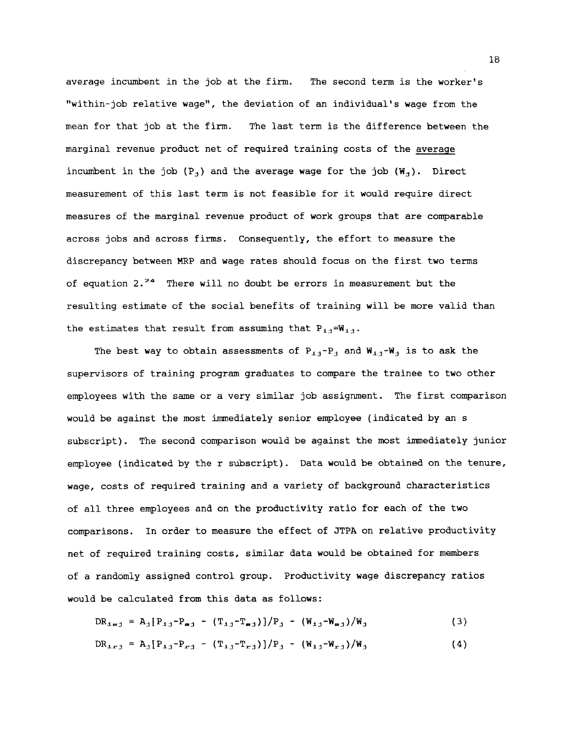average incumbent in the job at the firm. The second term is the worker's "within-job relative wage", the deviation of an individual's wage from the mean for that job at the firm. The last term is the difference between the marginal revenue product net of required training costs of the average incumbent in the job  $(P_1)$  and the average wage for the job  $(W_1)$ . Direct measurement of this last term is not feasible for it would require direct measures of the marginal revenue product of work groups that are comparable across jobs and across firms. Consequently, the effort to measure the discrepancy between MRP and wage rates should focus on the first two terms of equation 2.<sup>24</sup> There will no doubt be errors in measurement but the resulting estimate of the social benefits of training will be more valid than the estimates that result from assuming that  $P_{1,1}=W_{1,1}$ .

The best way to obtain assessments of  $P_{1,j}-P_{j}$  and  $W_{1,j}-W_{j}$  is to ask the supervisors of training program graduates to compare the trainee to two other employees with the same or a very similar job assignment. The first comparison would be against the most immediately senior employee (indicated by an s subscript). The second comparison would be against the most immediately junior employee (indicated by the r subscript). Data would be obtained on the tenure, wage, costs of required training and a variety of background characteristics of all three employees and on the productivity ratio for each of the two comparisons. In order to measure the effect of JTPA on relative productivity net of required training costs, similar data would be obtained for members of a randomly assigned control group. Productivity wage discrepancy ratios would be calculated from this data as follows:

$$
DR_{1\, \mathbf{s},j} = A_{j} [P_{1\, j} - P_{\mathbf{s},j} - (T_{1\, j} - T_{\mathbf{s},j})]/P_{j} - (W_{1\, j} - W_{\mathbf{s},j})/W_{j}
$$
 (3)

$$
DR_{1r,j} = A_{j} [P_{1,j} - P_{r,j} - (T_{1,j} - T_{r,j})]/P_{j} - (W_{1,j} - W_{r,j})/W_{j}
$$
(4)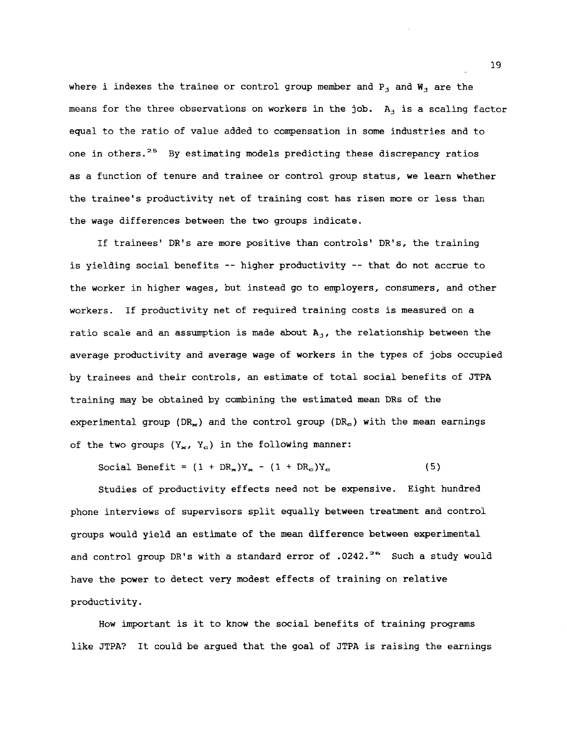where i indexes the trainee or control group member and  $P_1$  and  $W_2$  are the means for the three observations on workers in the job.  $A_1$  is a scaling factor equal to the ratio of value added to compensation in some industries and to one in others.<sup>25</sup> By estimating models predicting these discrepancy ratios as a function of tenure and trainee or control group status, we learn whether the trainee's productivity net of training cost has risen more or less than the wage differences between the two groups indicate.

If trainees' DR's are more positive than controls' DR's, the training is yielding social benefits -- higher productivity -- that do not accrue to the worker in higher wages, but instead go to employers, consumers, and other workers. If productivity net of required training costs is measured on a ratio scale and an assumption is made about  $A_{-1}$ , the relationship between the average productivity and average wage of workers in the types of jobs occupied by trainees and their controls, an estimate of total social benefits of JTPA training may be obtained by combining the estimated mean DRs of the experimental group (DR<sub>x</sub>) and the control group (DR<sub>c</sub>) with the mean earnings of the two groups  $(Y_x, Y_c)$  in the following manner:

Social Benefit =  $(1 + DR_x)Y_x - (1 + DR_c)Y_c$  (5)

Studies of productivity effects need not be expensive. Eight hundred phone interviews of supervisors split equally between treatment and control groups would yield an estimate of the mean difference between experimental and control group DR's with a standard error of .0242.<sup>26</sup> Such a study would have the power to detect very modest effects of training on relative productivity.

How important is it to know the social benefits of training programs like JTPA? It could be argued that the goal of JTPA is raising the earnings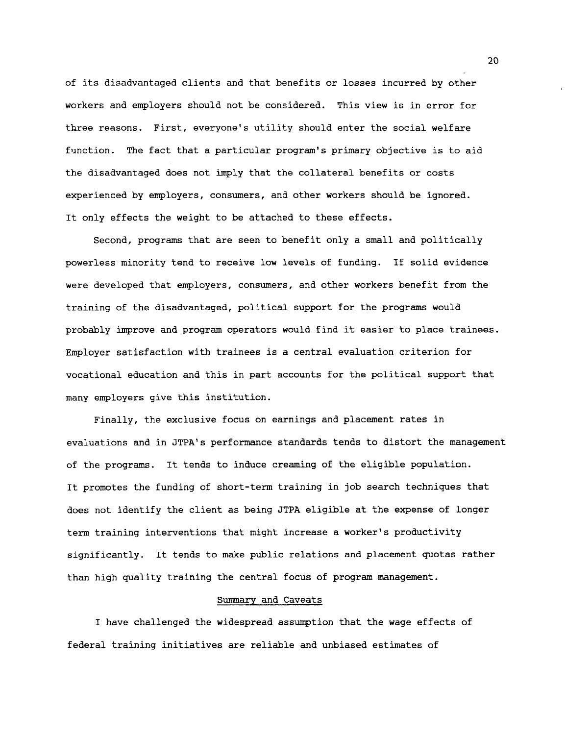of its disadvantaged clients and that benefits or losses incurred by other workers and employers should not be considered. This view is in error for three reasons. First, everyone's utility should enter the social welfare function. The fact that a particular program's primary objective is to aid the disadvantaged does not imply that the collateral benefits or costs experienced by employers, consumers, and other workers should be ignored. It only effects the weight to be attached to these effects.

Second, programs that are seen to benefit only a small and politically powerless minority tend to receive low levels of funding. If solid evidence were developed that employers, consumers, and other workers benefit from the training of the disadvantaged, political support for the programs would probably improve and program operators would find it easier to place trainees. Employer satisfaction with trainees is a central evaluation criterion for vocational education and this in part accounts for the political support that many employers give this institution.

Finally, the exclusive focus on earnings and placement rates in evaluations and in JTPA's performance standards tends to distort the management of the programs. It tends to induce creaming of the eligible population. It promotes the funding of short-term training in job search techniques that does not identify the client as being JTPA eligible at the expense of longer term training interventions that might increase a worker's productivity significantly. It tends to make public relations and placement quotas rather than high quality training the central focus of program management.

### Summary and Caveats

I have challenged the widespread assumption that the wage effects of federal training initiatives are reliable and unbiased estimates of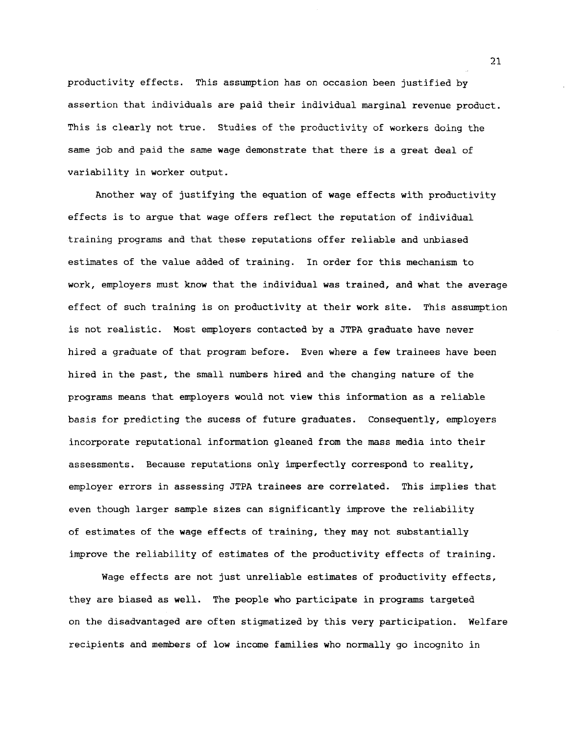productivity effects. This assumption has on occasion been justified by assertion that individuals are paid their individual marginal revenue product. This is clearly not true. studies of the productivity of workers doing the same job and paid the same wage demonstrate that there is a great deal of variability in worker output.

Another way of justifying the equation of wage effects with productivity effects is to argue that wage offers reflect the reputation of individual training programs and that these reputations offer reliable and unbiased estimates of the value added of training. In order for this mechanism to work, employers must know that the individual was trained, and what the average effect of such training is on productivity at their work site. This assumption is not realistic. Most employers contacted by a JTPA graduate have never hired a graduate of that program before. Even where a few trainees have been hired in the past, the small numbers hired and the changing nature of the programs means that employers would not view this information as a reliable basis for predicting the sucess of future graduates. Consequently, employers incorporate reputational information gleaned from the mass media into their assessments. Because reputations only imperfectly correspond to reality, employer errors in assessing JTPA trainees are correlated. This implies that even though larger sample sizes can significantly improve the reliability of estimates of the wage effects of training, they may not substantially improve the reliability of estimates of the productivity effects of training.

Wage effects are not just unreliable estimates of productivity effects, they are biased as well. The people who participate in programs targeted on the disadvantaged are often stigmatized by this very participation. Welfare recipients and members of low income families who normally go incognito in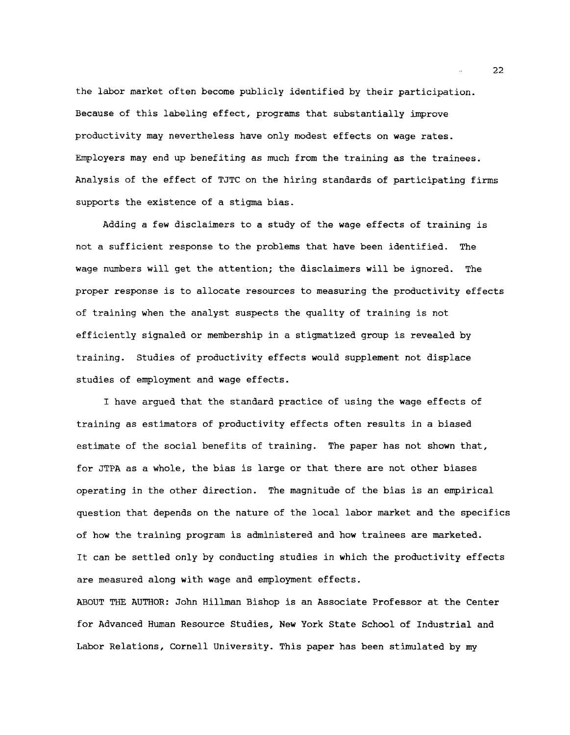the labor market often become publicly identified by their participation. Because of this labeling effect, programs that substantially improve productivity may nevertheless have only modest effects on wage rates. Employers may end up benefiting as much from the training as the trainees. Analysis of the effect of TJTC on the hiring standards of participating firms supports the existence of a stigma bias.

Adding a few disclaimers to a study of the wage effects of training is not a sufficient response to the problems that have been identified. The wage numbers will get the attention; the disclaimers will be ignored. The proper response is to allocate resources to measuring the productivity effects of training when the analyst suspects the quality of training is not efficiently signaled or membership in a stigmatized group is revealed by training. studies of productivity effects would supplement not displace studies of employment and wage effects.

I have argued that the standard practice of using the wage effects of training as estimators of productivity effects often results in a biased estimate of the social benefits of training. The paper has not shown that, for JTPA as a whole, the bias is large or that there are not other biases operating in the other direction. The magnitude of the bias is an empirical question that depends on the nature of the local labor market and the specifics of how the training program is administered and how trainees are marketed. It can be settled only by conducting studies in which the productivity effects are measured along with wage and employment effects.

ABOUT THE AUTHOR: John Hillman Bishop is an Associate Professor at the Center for Advanced Human Resource Studies, **New** York State School of Industrial and Labor Relations, Cornell University. This paper has been stimulated by my